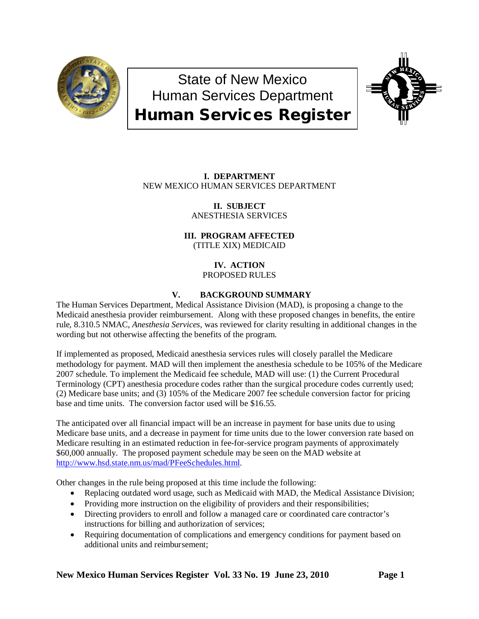

# State of New Mexico Human Services Department Human Services Register



# **I. DEPARTMENT** NEW MEXICO HUMAN SERVICES DEPARTMENT

**II. SUBJECT** ANESTHESIA SERVICES

**III. PROGRAM AFFECTED** (TITLE XIX) MEDICAID

> **IV. ACTION** PROPOSED RULES

# **V. BACKGROUND SUMMARY**

The Human Services Department, Medical Assistance Division (MAD), is proposing a change to the Medicaid anesthesia provider reimbursement. Along with these proposed changes in benefits, the entire rule, 8.310.5 NMAC, *Anesthesia Services*, was reviewed for clarity resulting in additional changes in the wording but not otherwise affecting the benefits of the program.

If implemented as proposed, Medicaid anesthesia services rules will closely parallel the Medicare methodology for payment. MAD will then implement the anesthesia schedule to be 105% of the Medicare 2007 schedule. To implement the Medicaid fee schedule, MAD will use: (1) the Current Procedural Terminology (CPT) anesthesia procedure codes rather than the surgical procedure codes currently used; (2) Medicare base units; and (3) 105% of the Medicare 2007 fee schedule conversion factor for pricing base and time units. The conversion factor used will be \$16.55.

The anticipated over all financial impact will be an increase in payment for base units due to using Medicare base units, and a decrease in payment for time units due to the lower conversion rate based on Medicare resulting in an estimated reduction in fee-for-service program payments of approximately \$60,000 annually. The proposed payment schedule may be seen on the MAD website at [http://www.hsd.state.nm.us/mad/PFeeSchedules.html.](http://www.hsd.state.nm.us/mad/PFeeSchedules.html)

Other changes in the rule being proposed at this time include the following:

- Replacing outdated word usage, such as Medicaid with MAD, the Medical Assistance Division;
- Providing more instruction on the eligibility of providers and their responsibilities;
- Directing providers to enroll and follow a managed care or coordinated care contractor's instructions for billing and authorization of services;
- Requiring documentation of complications and emergency conditions for payment based on additional units and reimbursement;

**New Mexico Human Services Register Vol. 33 No. 19 June 23, 2010 Page 1**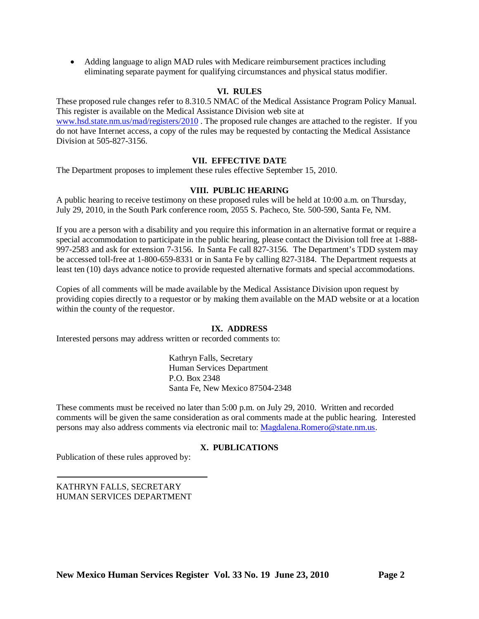• Adding language to align MAD rules with Medicare reimbursement practices including eliminating separate payment for qualifying circumstances and physical status modifier.

## **VI. RULES**

These proposed rule changes refer to 8.310.5 NMAC of the Medical Assistance Program Policy Manual. This register is available on the Medical Assistance Division web site at [www.hsd.state.nm.us/mad/registers/2010](http://www.hsd.state.nm.us/mad/registers/2010) . The proposed rule changes are attached to the register. If you do not have Internet access, a copy of the rules may be requested by contacting the Medical Assistance Division at 505-827-3156.

# **VII. EFFECTIVE DATE**

The Department proposes to implement these rules effective September 15, 2010.

## **VIII. PUBLIC HEARING**

A public hearing to receive testimony on these proposed rules will be held at 10:00 a.m. on Thursday, July 29, 2010, in the South Park conference room, 2055 S. Pacheco, Ste. 500-590, Santa Fe, NM.

If you are a person with a disability and you require this information in an alternative format or require a special accommodation to participate in the public hearing, please contact the Division toll free at 1-888- 997-2583 and ask for extension 7-3156. In Santa Fe call 827-3156. The Department's TDD system may be accessed toll-free at 1-800-659-8331 or in Santa Fe by calling 827-3184. The Department requests at least ten (10) days advance notice to provide requested alternative formats and special accommodations.

Copies of all comments will be made available by the Medical Assistance Division upon request by providing copies directly to a requestor or by making them available on the MAD website or at a location within the county of the requestor.

#### **IX. ADDRESS**

Interested persons may address written or recorded comments to:

Kathryn Falls, Secretary Human Services Department P.O. Box 2348 Santa Fe, New Mexico 87504-2348

These comments must be received no later than 5:00 p.m. on July 29, 2010. Written and recorded comments will be given the same consideration as oral comments made at the public hearing. Interested persons may also address comments via electronic mail to: [Magdalena.Romero@state.nm.us.](mailto:Magdalena.Romero@state.nm.us)

# **X. PUBLICATIONS**

Publication of these rules approved by:

KATHRYN FALLS, SECRETARY HUMAN SERVICES DEPARTMENT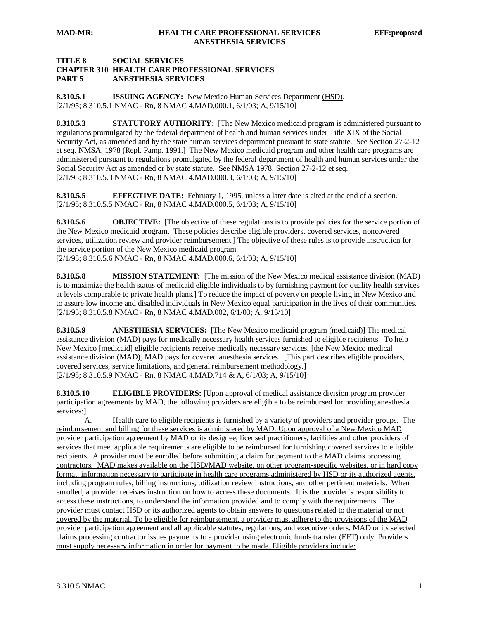## **TITLE 8 SOCIAL SERVICES CHAPTER 310 HEALTH CARE PROFESSIONAL SERVICES PART 5 ANESTHESIA SERVICES**

**8.310.5.1 ISSUING AGENCY:** New Mexico Human Services Department (HSD). [2/1/95; 8.310.5.1 NMAC - Rn, 8 NMAC 4.MAD.000.1, 6/1/03; A, 9/15/10]

**8.310.5.3 STATUTORY AUTHORITY:** [The New Mexico medicaid program is administered pursuant to regulations promulgated by the federal department of health and human services under Title XIX of the Social Security Act, as amended and by the state human services department pursuant to state statute. See Section 27-2-12 et seq. NMSA, 1978 (Repl. Pamp. 1991.] The New Mexico medicaid program and other health care programs are [2/1/95; 8.310.5.3 NMAC - Rn, 8 NMAC 4.MAD.000.3, 6/1/03; A, 9/15/10] administered pursuant to regulations promulgated by the federal department of health and human services under the Social Security Act as amended or by state statute. See NMSA 1978, Section 27-2-12 et seq.

**8.310.5.5 EFFECTIVE DATE:** February 1, 1995, unless a later date is cited at the end of a section. [2/1/95; 8.310.5.5 NMAC - Rn, 8 NMAC 4.MAD.000.5, 6/1/03; A, 9/15/10]

**8.310.5.6 OBJECTIVE:** [The objective of these regulations is to provide policies for the service portion of the New Mexico medicaid program. These policies describe eligible providers, covered services, noncovered services, utilization review and provider reimbursement.] The objective of these rules is to provide instruction for [2/1/95; 8.310.5.6 NMAC - Rn, 8 NMAC 4.MAD.000.6, 6/1/03; A, 9/15/10] the service portion of the New Mexico medicaid program.

**8.310.5.8 MISSION STATEMENT:** [The mission of the New Mexico medical assistance division (MAD) is to maximize the health status of medicaid eligible individuals to by furnishing payment for quality health services at levels comparable to private health plans.] To reduce the impact of poverty on people living in New Mexico and [2/1/95; 8.310.5.8 NMAC - Rn, 8 NMAC 4.MAD.002, 6/1/03; A, 9/15/10] to assure low income and disabled individuals in New Mexico equal participation in the lives of their communities.

**8.310.5.9 ANESTHESIA SERVICES:** [The New Mexico medicaid program (medicaid)] The medical assistance division (MAD) pays for medically necessary health services furnished to eligible recipients. To help New Mexico [medicaid] eligible recipients receive medically necessary services, [the New Mexico medical assistance division (MAD)] MAD pays for covered anesthesia services. [This part describes eligible providers, covered services, service limitations, and general reimbursement methodology. ] [2/1/95; 8.310.5.9 NMAC - Rn, 8 NMAC 4.MAD.714 & A, 6/1/03; A, 9/15/10]

**8.310.5.10 ELIGIBLE PROVIDERS:** [Upon approval of medical assistance division program provider participation agreements by MAD, the following providers are eligible to be reimbursed for providing anesthesia services: ]

A. Health care to eligible recipients is furnished by a variety of providers and provider groups. The reimbursement and billing for these services is administered by MAD. Upon approval of a New Mexico MAD provider participation agreement by MAD or its designee, licensed practitioners, facilities and other providers of services that meet applicable requirements are eligible to be reimbursed for furnishing covered services to eligible recipients. A provider must be enrolled before submitting a claim for payment to the MAD claims processing contractors. MAD makes available on the HSD/MAD website, on other program-specific websites, or in hard copy format, information necessary to participate in health care programs administered by HSD or its authorized agents, including program rules, billing instructions, utilization review instructions, and other pertinent materials. When enrolled, a provider receives instruction on how to access these documents. It is the provider's responsibility to access these instructions, to understand the information provided and to comply with the requirements. The provider must contact HSD or its authorized agents to obtain answers to questions related to the material or not covered by the material. To be eligible for reimbursement, a provider must adhere to the provisions of the MAD provider participation agreement and all applicable statutes, regulations, and executive orders. MAD or its selected claims processing contractor issues payments to a provider using electronic funds transfer (EFT) only. Providers must supply necessary information in order for payment to be made. Eligible providers include: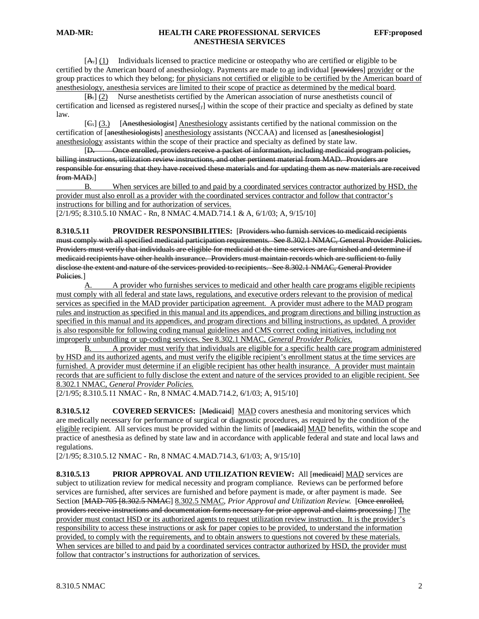$[A<sub>1</sub>]$  Individuals licensed to practice medicine or osteopathy who are certified or eligible to be certified by the American board of anesthesiology. Payments are made to an individual [providers] provider or the group practices to which they belong; for physicians not certified or eligible to be certified by the American board of anesthesiology, anesthesia services are limited to their scope of practice as determined by the medical board .

 $[\frac{B}{C}](2)$ Nurse anesthetists certified by the American association of nurse anesthetists council of certification and licensed as registered nurses[, ] within the scope of their practice and specialty as defined by state law.

[C.] (3.) [Anesthesiologist] Anesthesiology assistants certified by the national commission on the certification of [anesthesiologists] anesthesiology assistants (NCCAA) and licensed as [anesthesiologist] anesthesiology assistants within the scope of their practice and specialty as defined by state law.

 $[D,$ D**.** Once enrolled, providers receive a packet of information, including medicaid program policies, billing instructions, utilization review instructions, and other pertinent material from MAD. Providers are responsible for ensuring that they have received these materials and for updating them as new materials are received from MAD.]

[2/1/95; 8.310.5.10 NMAC - Rn, 8 NMAC 4.MAD.714.1 & A, 6/1/03; A, 9/15/10] B. When services are billed to and paid by a coordinated services contractor authorized by HSD, the provider must also enroll as a provider with the coordinated services contractor and follow that contractor's instructions for billing and for authorization of services.

**8.310.5.11 PROVIDER RESPONSIBILITIES:** [Providers who furnish services to medicaid recipients must comply with all specified medicaid participation requirements. See 8.302.1 NMAC, General Provider Policies. Providers must verify that individuals are eligible for medicaid at the time services are furnished and determine if medicaid recipients have other health insurance. Providers must maintain records which are sufficient to fully disclose the extent and nature of the services provided to recipients. See 8.302.1 NMAC, General Provider Policies.]

A. A provider who furnishes services to medicaid and other health care programs eligible recipients must comply with all federal and state laws, regulations, and executive orders relevant to the provision of medical services as specified in the MAD provider participation agreement. A provider must adhere to the MAD program rules and instruction as specified in this manual and its appendices, and program directions and billing instruction as specified in this manual and its appendices, and program directions and billing instructions, as updated. A provider is also responsible for following coding manual guidelines and CMS correct coding initiatives, including not improperly unbundling or up-coding services. See 8.302.1 NMAC, *General Provider Policies*.

B. A provider must verify that individuals are eligible for a specific health care program administered by HSD and its authorized agents, and must verify the eligible recipient's enrollment status at the time services are furnished. A provider must determine if an eligible recipient has other health insurance. A provider must maintain records that are sufficient to fully disclose the extent and nature of the services provided to an eligible recipient. See 8.302.1 NMAC, *General Provider Policies.*

[2/1/95; 8.310.5.11 NMAC - Rn, 8 NMAC 4.MAD.714.2, 6/1/03; A, 915/10]

**8.310.5.12 COVERED SERVICES:** [Medicaid] MAD covers anesthesia and monitoring services which are medically necessary for performance of surgical or diagnostic procedures, as required by the condition of the eligible recipient. All services must be provided within the limits of [<del>medicaid</del>] MAD benefits, within the scope and practice of anesthesia as defined by state law and in accordance with applicable federal and state and local laws and regulations.

[2/1/95; 8.310.5.12 NMAC - Rn, 8 NMAC 4.MAD.714.3, 6/1/03; A, 9/15/10]

**8.310.5.13 PRIOR APPROVAL AND UTILIZATION REVIEW:** All [medicaid] MAD services are subject to utilization review for medical necessity and program compliance. Reviews can be performed before services are furnished, after services are furnished and before payment is made, or after payment is made. See Section [MAD-705 [8.302.5 NMAC] 8.302.5 NMAC*, Prior Approval and Utilization Review.* [Once enrolled, providers receive instructions and documentation forms necessary for prior approval and claims processing.] The provider must contact HSD or its authorized agents to request utilization review instruction. It is the provider's responsibility to access these instructions or ask for paper copies to be provided, to understand the information provided, to comply with the requirements, and to obtain answers to questions not covered by these materials. When services are billed to and paid by a coordinated services contractor authorized by HSD, the provider must follow that contractor's instructions for authorization of services.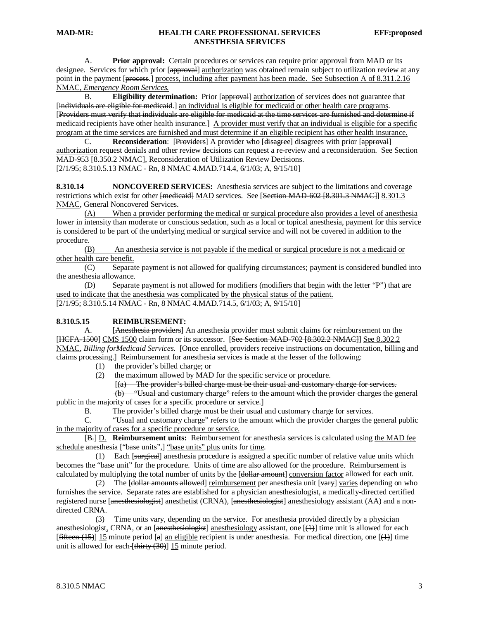A. **Prior approval:** Certain procedures or services can require prior approval from MAD or its designee. Services for which prior [approval] authorization was obtained remain subject to utilization review at any point in the payment [process.] process, including after payment has been made. See Subsection A of 8.311.2.16 NMAC, *Emergency Room Services.*

B. **Eligibility determination:** Prior [approval] authorization of services does not guarantee that [individuals are eligible for medicaid.] an individual is eligible for medicaid or other health care programs. [Providers must verify that individuals are eligible for medicaid at the time services are furnished and determine if medicaid recipients have other health insurance.] A provider must verify that an individual is eligible for a specific program at the time services are furnished and must determine if an eligible recipient has other health insurance.

C. **Reconsideration**: [Providers] A provider who [disagrees] disagrees with prior [approval] authorization request denials and other review decisions can request a re-review and a reconsideration. See Section [2/1/95; 8.310.5.13 NMAC - Rn, 8 NMAC 4.MAD.714.4, 6/1/03; A, 9/15/10] MAD-953 [8.350.2 NMAC], Reconsideration of Utilization Review Decisions.

**8.310.14 NONCOVERED SERVICES:** Anesthesia services are subject to the limitations and coverage restrictions which exist for other [medicaid] MAD services. See [Section MAD-602 [8.301.3 NMAC]] 8.301.3 NMAC, General Noncovered Services.

(A) When a provider performing the medical or surgical procedure also provides a level of anesthesia lower in intensity than moderate or conscious sedation, such as a local or topical anesthesia, payment for this service is considered to be part of the underlying medical or surgical service and will not be covered in addition to the procedure.

(B) An anesthesia service is not payable if the medical or surgical procedure is not a medicaid or other health care benefit.

(C) Separate payment is not allowed for qualifying circumstances; payment is considered bundled into the anesthesia allowance.

[2/1/95; 8.310.5.14 NMAC - Rn, 8 NMAC 4.MAD.714.5, 6/1/03; A, 9/15/10] (D) Separate payment is not allowed for modifiers (modifiers that begin with the letter "P") that are used to indicate that the anesthesia was complicated by the physical status of the patient.

#### **8.310.5.15 REIMBURSEMENT:**

A. [Anesthesia providers] An anesthesia provider must submit claims for reimbursement on the [HCFA-1500] CMS 1500 claim form or its successor. [See Section MAD-702 [8.302.2 NMAC]] See 8.302.2 NMAC, *Billing forMedicaid Services*. [Once enrolled, providers receive instructions on documentation, billing and elaims processing.] Reimbursement for anesthesia services is made at the lesser of the following:

- (1) the provider's billed charge; or
- (2) the maximum allowed by MAD for the specific service or procedure.

 [ (a) The provider's billed charge must be their usual and customary charge for services.

(b) "Usual and customary charge" refers to the amount which the provider charges the general public in the majority of cases for a specific procedure or service.]

B. The provider's billed charge must be their usual and customary charge for services.<br>C. "Usual and customary charge" refers to the amount which the provider charges the

"Usual and customary charge" refers to the amount which the provider charges the general public in the majority of cases for a specific procedure or service.

[B<sub>r</sub>] **D. Reimbursement units:** Reimbursement for anesthesia services is calculated using the MAD fee schedule anesthesia ["base units",] "base units" plus units for time.

(1) Each [surgical] anesthesia procedure is assigned a specific number of relative value units which becomes the "base unit" for the procedure. Units of time are also allowed for the procedure. Reimbursement is calculated by multiplying the total number of units by the [<del>dollar amount</del>] conversion factor allowed for each unit.

(2) The [<del>dollar amounts allowed</del>] <u>reimbursement</u> per anesthesia unit [<del>vary</del>] varies depending on who furnishes the service. Separate rates are established for a physician anesthesiologist, a medically-directed certified registered nurse [anesthesiologist] anesthetist (CRNA), [anesthesiologist] anesthesiology assistant (AA) and a nondirected CRNA.

 (3) Time units vary, depending on the service. For anesthesia provided directly by a physician anesthesiologist, CRNA, or an [anesthesiologist] anesthesiology assistant, one [(1)] time unit is allowed for each [fifteen (15)] 15 minute period [a] an eligible recipient is under anesthesia. For medical direction, one [(4)] time unit is allowed for each- $[\text{thirty} (30)]$  15 minute period.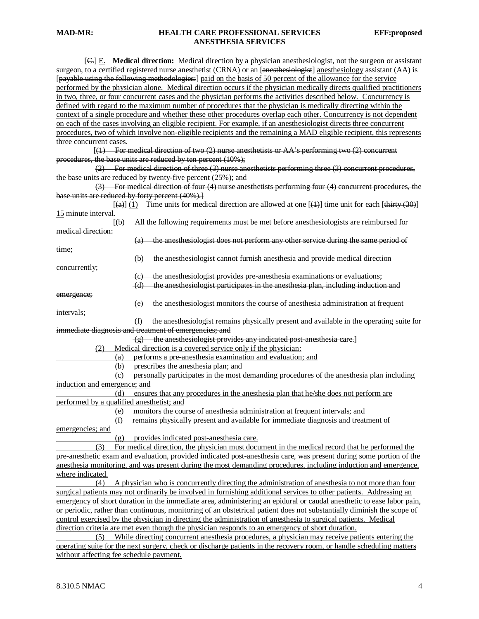[C.] E. **Medical direction:** Medical direction by a physician anesthesiologist, not the surgeon or assistant surgeon, to a certified registered nurse anesthetist (CRNA) or an [anesthesiologist] anesthesiology assistant (AA) is [payable using the following methodologies:] paid on the basis of 50 percent of the allowance for the service performed by the physician alone. Medical direction occurs if the physician medically directs qualified practitioners in two, three, or four concurrent cases and the physician performs the activities described below. Concurrency is defined with regard to the maximum number of procedures that the physician is medically directing within the context of a single procedure and whether these other procedures overlap each other. Concurrency is not dependent on each of the cases involving an eligible recipient. For example, if an anesthesiologist directs three concurrent procedures, two of which involve non-eligible recipients and the remaining a MAD eligible recipient, this represents three concurrent cases.

 $\overline{a}$  (see Fig. ).  $(1)$  For medical direction of two (2) nurse anesthetists or AA's performing two (2) concurrent procedures, the base units are reduced by ten percent (10%);

(2) For medical direction of three (3) nurse anesthetists performing three (3) concurrent procedures, the base units are reduced by twenty-five percent (25%); and

(3) For medical direction of four (4) nurse anesthetists performing four (4) concurrent procedures, the base units are reduced by forty percent (40%).]

 $\begin{bmatrix} 1 & 1 & 1 \\ 1 & 1 & 1 \end{bmatrix}$  $\overline{f(a)}(1)$  Time units for medical direction are allowed at one  $\overline{f(1)}$  time unit for each  $\overline{f\text{thirtv}(30)}$ 15 minute interval.

 $\begin{bmatrix} 1 & 1 & 1 \\ 1 & 1 & 1 \end{bmatrix}$ (b) All the following requirements must be met before anesthesiologists are reimbursed for medical direction:

(a) the anesthesiologist does not perform any other service during the same period of

(b) the anesthesiologist cannot furnish anesthesia and provide medical direction

concurrently;

time;

(c) the anesthesiologist provides pre-anesthesia examinations or evaluations; (d) the anesthesiologist participates in the anesthesia plan, including induction and

emergence;

(e) the anesthesiologist monitors the course of anesthesia administration at frequent

intervals;

(f) the anesthesiologist remains physically present and available in the operating suite for immediate diagnosis and treatment of emergencies; and

(g) the anesthesiologist provides any indicated post-anesthesia care.]

(2) Medical direction is a covered service only if the physician:

(a) performs a pre-anesthesia examination and evaluation; and

(b) prescribes the anesthesia plan; and

 (c) personally participates in the most demanding procedures of the anesthesia plan including induction and emergence; and

 (d) ensures that any procedures in the anesthesia plan that he/she does not perform are performed by a qualified anesthetist; and

(e) monitors the course of anesthesia administration at frequent intervals; and

 (f) remains physically present and available for immediate diagnosis and treatment of emergencies; and

(g) provides indicated post-anesthesia care.

 (3) For medical direction, the physician must document in the medical record that he performed the pre-anesthetic exam and evaluation, provided indicated post-anesthesia care, was present during some portion of the anesthesia monitoring, and was present during the most demanding procedures, including induction and emergence, where indicated.

 (4) A physician who is concurrently directing the administration of anesthesia to not more than four surgical patients may not ordinarily be involved in furnishing additional services to other patients. Addressing an emergency of short duration in the immediate area, administering an epidural or caudal anesthetic to ease labor pain, or periodic, rather than continuous, monitoring of an obstetrical patient does not substantially diminish the scope of control exercised by the physician in directing the administration of anesthesia to surgical patients. Medical direction criteria are met even though the physician responds to an emergency of short duration.

 (5) While directing concurrent anesthesia procedures, a physician may receive patients entering the operating suite for the next surgery, check or discharge patients in the recovery room, or handle scheduling matters without affecting fee schedule payment.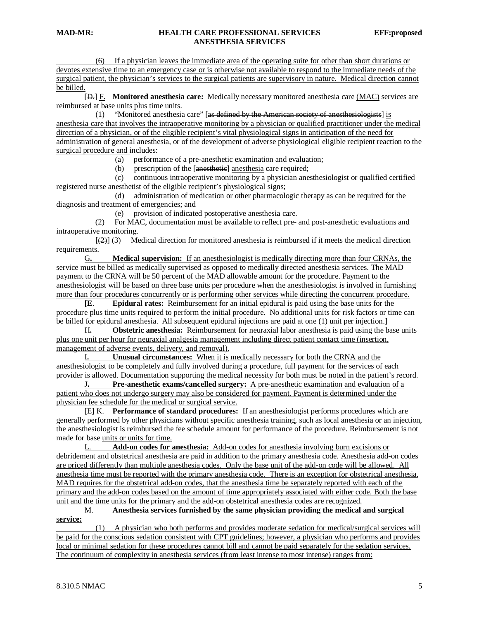(6) If a physician leaves the immediate area of the operating suite for other than short durations or devotes extensive time to an emergency case or is otherwise not available to respond to the immediate needs of the surgical patient, the physician's services to the surgical patients are supervisory in nature. Medical direction cannot be billed.

[ $\leftrightarrow$ ] **F.** Monitored anesthesia care: Medically necessary monitored anesthesia care (MAC) services are reimbursed at base units plus time units.

(1) "Monitored anesthesia care" [as defined by the American society of anesthesiologists] is anesthesia care that involves the intraoperative monitoring by a physician or qualified practitioner under the medical direction of a physician, or of the eligible recipient's vital physiological signs in anticipation of the need for administration of general anesthesia, or of the development of adverse physiological eligible recipient reaction to the surgical procedure and includes:

(a) performance of a pre-anesthetic examination and evaluation;

(b) prescription of the [anesthetic] anesthesia care required;

 (c) continuous intraoperative monitoring by a physician anesthesiologist or qualified certified registered nurse anesthetist of the eligible recipient's physiological signs;

 (d) administration of medication or other pharmacologic therapy as can be required for the diagnosis and treatment of emergencies; and

(e) provision of indicated postoperative anesthesia care.

(2) For MAC, documentation must be available to reflect pre- and post-anesthetic evaluations and intraoperative monitoring.<br> $[(2)] (3)$  Me

 $\overline{a}$ Medical direction for monitored anesthesia is reimbursed if it meets the medical direction requirements.

G**. Medical supervision:** If an anesthesiologist is medically directing more than four CRNAs, the service must be billed as medically supervised as opposed to medically directed anesthesia services. The MAD payment to the CRNA will be 50 percent of the MAD allowable amount for the procedure. Payment to the anesthesiologist will be based on three base units per procedure when the anesthesiologist is involved in furnishing more than four procedures concurrently or is performing other services while directing the concurrent procedure.

**[ E**. **Epidural rates:** Reimbursement for an initial epidural is paid using the base units for the procedure plus time units required to perform the initial procedure. No additional units for risk factors or time can be billed for epidural anesthesia. All subsequent epidural injections are paid at one (1) unit per injection.]

H**. Obstetric anesthesia:** Reimbursement for neuraxial labor anesthesia is paid using the base units plus one unit per hour for neuraxial analgesia management including direct patient contact time (insertion, management of adverse events, delivery, and removal).

I**. Unusual circumstances:** When it is medically necessary for both the CRNA and the anesthesiologist to be completely and fully involved during a procedure, full payment for the services of each provider is allowed. Documentation supporting the medical necessity for both must be noted in the patient's record.

J**. Pre-anesthetic exams/cancelled surgery:** A pre-anesthetic examination and evaluation of a patient who does not undergo surgery may also be considered for payment. Payment is determined under the physician fee schedule for the medical or surgical service.

[ E] K. **Performance of standard procedures:** If an anesthesiologist performs procedures which are generally performed by other physicians without specific anesthesia training, such as local anesthesia or an injection, the anesthesiologist is reimbursed the fee schedule amount for performance of the procedure. Reimbursement is not made for base units or units for time.

L. **Add-on codes for anesthesia:** Add-on codes for anesthesia involving burn excisions or debridement and obstetrical anesthesia are paid in addition to the primary anesthesia code. Anesthesia add-on codes are priced differently than multiple anesthesia codes. Only the base unit of the add-on code will be allowed. All anesthesia time must be reported with the primary anesthesia code. There is an exception for obstetrical anesthesia. MAD requires for the obstetrical add-on codes, that the anesthesia time be separately reported with each of the primary and the add-on codes based on the amount of time appropriately associated with either code. Both the base unit and the time units for the primary and the add-on obstetrical anesthesia codes are recognized.

#### M. **Anesthesia services furnished by the same physician providing the medical and surgical** s**ervice:**

 (1) A physician who both performs and provides moderate sedation for medical/surgical services will be paid for the conscious sedation consistent with CPT guidelines; however, a physician who performs and provides local or minimal sedation for these procedures cannot bill and cannot be paid separately for the sedation services. The continuum of complexity in anesthesia services (from least intense to most intense) ranges from: